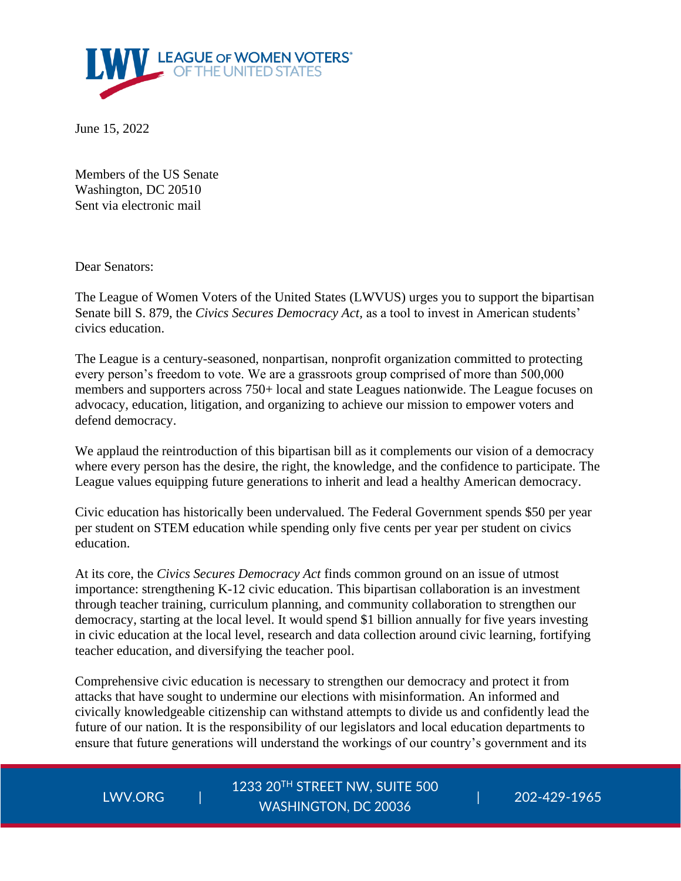

June 15, 2022

Members of the US Senate Washington, DC 20510 Sent via electronic mail

Dear Senators:

The League of Women Voters of the United States (LWVUS) urges you to support the bipartisan Senate bill S. 879, the *Civics Secures Democracy Act,* as a tool to invest in American students' civics education.

The League is a century-seasoned, nonpartisan, nonprofit organization committed to protecting every person's freedom to vote. We are a grassroots group comprised of more than 500,000 members and supporters across 750+ local and state Leagues nationwide. The League focuses on advocacy, education, litigation, and organizing to achieve our mission to empower voters and defend democracy.

We applaud the reintroduction of this bipartisan bill as it complements our vision of a democracy where every person has the desire, the right, the knowledge, and the confidence to participate. The League values equipping future generations to inherit and lead a healthy American democracy.

Civic education has historically been undervalued. The Federal Government spends \$50 per year per student on STEM education while spending only five cents per year per student on civics education.

At its core, the *Civics Secures Democracy Act* finds common ground on an issue of utmost importance: strengthening K-12 civic education. This bipartisan collaboration is an investment through teacher training, curriculum planning, and community collaboration to strengthen our democracy, starting at the local level. It would spend \$1 billion annually for five years investing in civic education at the local level, research and data collection around civic learning, fortifying teacher education, and diversifying the teacher pool.

Comprehensive civic education is necessary to strengthen our democracy and protect it from attacks that have sought to undermine our elections with misinformation. An informed and civically knowledgeable citizenship can withstand attempts to divide us and confidently lead the future of our nation. It is the responsibility of our legislators and local education departments to ensure that future generations will understand the workings of our country's government and its

LWV.ORG

1233 20TH STREET NW, SUITE 500 | 202-429-1965 WASHINGTON, DC 20036